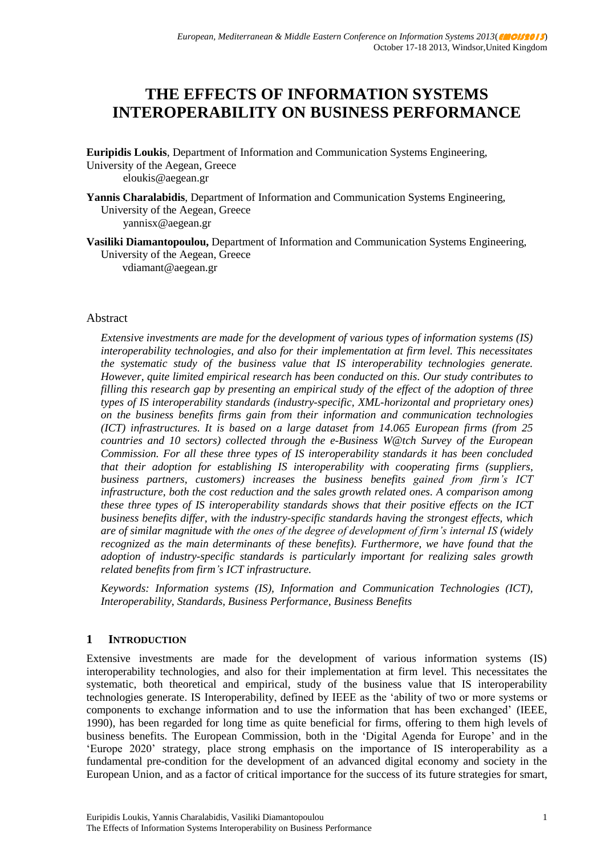# **THE EFFECTS OF INFORMATION SYSTEMS INTEROPERABILITY ON BUSINESS PERFORMANCE**

**Euripidis Loukis**, Department of Information and Communication Systems Engineering, University of the Aegean, Greece eloukis@aegean.gr

**Yannis Charalabidis**, Department of Information and Communication Systems Engineering, University of the Aegean, Greece yannisx@aegean.gr

**Vasiliki Diamantopoulou,** Department of Information and Communication Systems Engineering, University of the Aegean, Greece

vdiamant@aegean.gr

#### Abstract

*Extensive investments are made for the development of various types of information systems (IS) interoperability technologies, and also for their implementation at firm level. This necessitates the systematic study of the business value that IS interoperability technologies generate. However, quite limited empirical research has been conducted on this. Our study contributes to filling this research gap by presenting an empirical study of the effect of the adoption of three types of IS interoperability standards (industry-specific, XML-horizontal and proprietary ones) on the business benefits firms gain from their information and communication technologies (ICT) infrastructures. It is based on a large dataset from 14.065 European firms (from 25 countries and 10 sectors) collected through the e-Business W@tch Survey of the European Commission. For all these three types of IS interoperability standards it has been concluded that their adoption for establishing IS interoperability with cooperating firms (suppliers, business partners, customers) increases the business benefits gained from firm's ICT infrastructure, both the cost reduction and the sales growth related ones. A comparison among these three types of IS interoperability standards shows that their positive effects on the ICT business benefits differ, with the industry-specific standards having the strongest effects, which are of similar magnitude with the ones of the degree of development of firm's internal IS (widely recognized as the main determinants of these benefits). Furthermore, we have found that the adoption of industry-specific standards is particularly important for realizing sales growth related benefits from firm's ICT infrastructure.* 

*Keywords: Information systems (IS), Information and Communication Technologies (ICT), Interoperability, Standards, Business Performance, Business Benefits*

#### **1 INTRODUCTION**

Extensive investments are made for the development of various information systems (IS) interoperability technologies, and also for their implementation at firm level. This necessitates the systematic, both theoretical and empirical, study of the business value that IS interoperability technologies generate. IS Interoperability, defined by IEEE as the 'ability of two or more systems or components to exchange information and to use the information that has been exchanged' (IEEE, 1990), has been regarded for long time as quite beneficial for firms, offering to them high levels of business benefits. The European Commission, both in the 'Digital Agenda for Europe' and in the 'Europe 2020' strategy, place strong emphasis on the importance of IS interoperability as a fundamental pre-condition for the development of an advanced digital economy and society in the European Union, and as a factor of critical importance for the success of its future strategies for smart,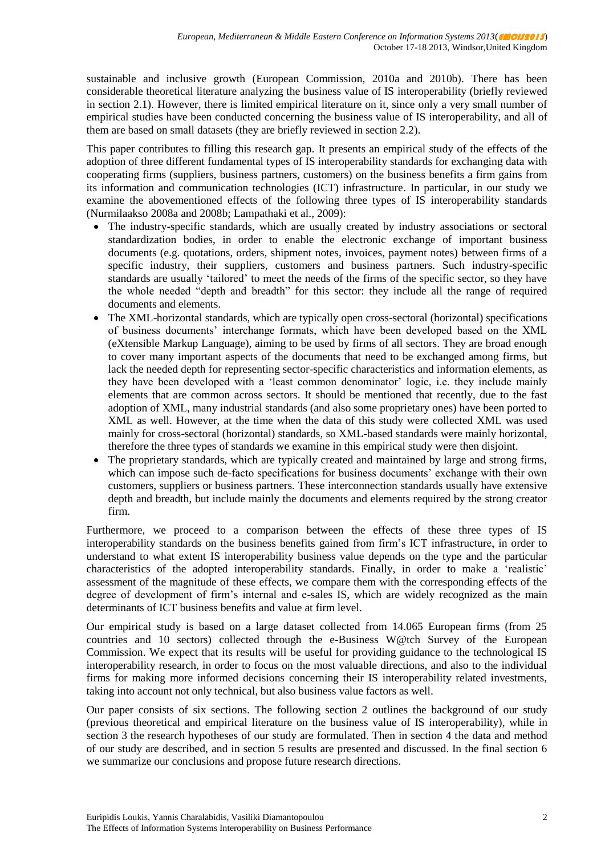sustainable and inclusive growth (European Commission, 2010a and 2010b). There has been considerable theoretical literature analyzing the business value of IS interoperability (briefly reviewed in section 2.1). However, there is limited empirical literature on it, since only a very small number of empirical studies have been conducted concerning the business value of IS interoperability, and all of them are based on small datasets (they are briefly reviewed in section 2.2).

This paper contributes to filling this research gap. It presents an empirical study of the effects of the adoption of three different fundamental types of IS interoperability standards for exchanging data with cooperating firms (suppliers, business partners, customers) on the business benefits a firm gains from its information and communication technologies (ICT) infrastructure. In particular, in our study we examine the abovementioned effects of the following three types of IS interoperability standards (Nurmilaakso 2008a and 2008b; Lampathaki et al., 2009):

- The industry-specific standards, which are usually created by industry associations or sectoral standardization bodies, in order to enable the electronic exchange of important business documents (e.g. quotations, orders, shipment notes, invoices, payment notes) between firms of a specific industry, their suppliers, customers and business partners. Such industry-specific standards are usually 'tailored' to meet the needs of the firms of the specific sector, so they have the whole needed "depth and breadth" for this sector: they include all the range of required documents and elements.
- The XML-horizontal standards, which are typically open cross-sectoral (horizontal) specifications of business documents' interchange formats, which have been developed based on the XML (eXtensible Markup Language), aiming to be used by firms of all sectors. They are broad enough to cover many important aspects of the documents that need to be exchanged among firms, but lack the needed depth for representing sector-specific characteristics and information elements, as they have been developed with a 'least common denominator' logic, i.e. they include mainly elements that are common across sectors. It should be mentioned that recently, due to the fast adoption of XML, many industrial standards (and also some proprietary ones) have been ported to XML as well. However, at the time when the data of this study were collected XML was used mainly for cross-sectoral (horizontal) standards, so XML-based standards were mainly horizontal, therefore the three types of standards we examine in this empirical study were then disjoint.
- The proprietary standards, which are typically created and maintained by large and strong firms, which can impose such de-facto specifications for business documents' exchange with their own customers, suppliers or business partners. These interconnection standards usually have extensive depth and breadth, but include mainly the documents and elements required by the strong creator firm.

Furthermore, we proceed to a comparison between the effects of these three types of IS interoperability standards on the business benefits gained from firm's ICT infrastructure, in order to understand to what extent IS interoperability business value depends on the type and the particular characteristics of the adopted interoperability standards. Finally, in order to make a 'realistic' assessment of the magnitude of these effects, we compare them with the corresponding effects of the degree of development of firm's internal and e-sales IS, which are widely recognized as the main determinants of ICT business benefits and value at firm level.

Our empirical study is based on a large dataset collected from 14.065 European firms (from 25 countries and 10 sectors) collected through the e-Business W@tch Survey of the European Commission. We expect that its results will be useful for providing guidance to the technological IS interoperability research, in order to focus on the most valuable directions, and also to the individual firms for making more informed decisions concerning their IS interoperability related investments, taking into account not only technical, but also business value factors as well.

Our paper consists of six sections. The following section 2 outlines the background of our study (previous theoretical and empirical literature on the business value of IS interoperability), while in section 3 the research hypotheses of our study are formulated. Then in section 4 the data and method of our study are described, and in section 5 results are presented and discussed. In the final section 6 we summarize our conclusions and propose future research directions.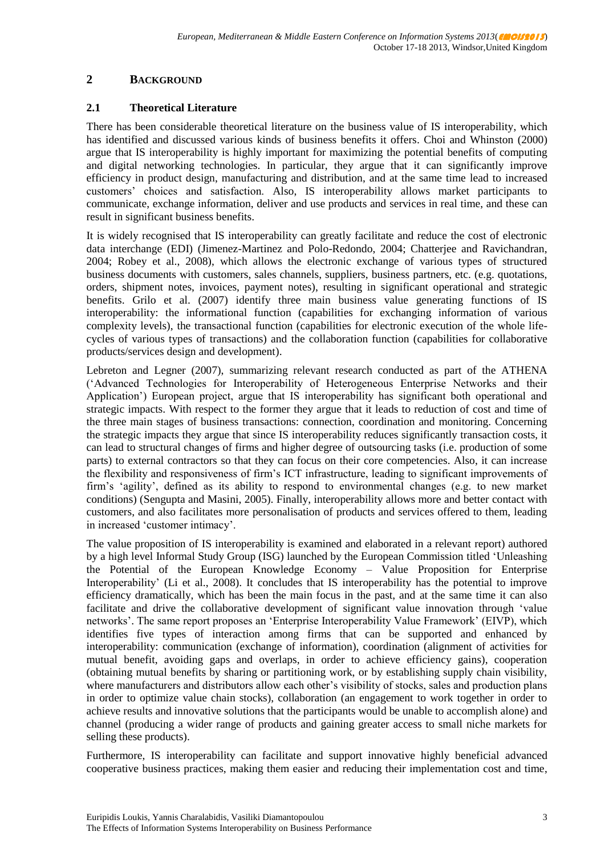# **2 BACKGROUND**

### **2.1 Theoretical Literature**

There has been considerable theoretical literature on the business value of IS interoperability, which has identified and discussed various kinds of business benefits it offers. Choi and Whinston (2000) argue that IS interoperability is highly important for maximizing the potential benefits of computing and digital networking technologies. In particular, they argue that it can significantly improve efficiency in product design, manufacturing and distribution, and at the same time lead to increased customers' choices and satisfaction. Also, IS interoperability allows market participants to communicate, exchange information, deliver and use products and services in real time, and these can result in significant business benefits.

It is widely recognised that IS interoperability can greatly facilitate and reduce the cost of electronic data interchange (EDI) (Jimenez-Martinez and Polo-Redondo, 2004; Chatterjee and Ravichandran, 2004; Robey et al., 2008), which allows the electronic exchange of various types of structured business documents with customers, sales channels, suppliers, business partners, etc. (e.g. quotations, orders, shipment notes, invoices, payment notes), resulting in significant operational and strategic benefits. Grilo et al. (2007) identify three main business value generating functions of IS interoperability: the informational function (capabilities for exchanging information of various complexity levels), the transactional function (capabilities for electronic execution of the whole lifecycles of various types of transactions) and the collaboration function (capabilities for collaborative products/services design and development).

Lebreton and Legner (2007), summarizing relevant research conducted as part of the ATHENA ('Advanced Technologies for Interoperability of Heterogeneous Enterprise Networks and their Application') European project, argue that IS interoperability has significant both operational and strategic impacts. With respect to the former they argue that it leads to reduction of cost and time of the three main stages of business transactions: connection, coordination and monitoring. Concerning the strategic impacts they argue that since IS interoperability reduces significantly transaction costs, it can lead to structural changes of firms and higher degree of outsourcing tasks (i.e. production of some parts) to external contractors so that they can focus on their core competencies. Also, it can increase the flexibility and responsiveness of firm's ICT infrastructure, leading to significant improvements of firm's 'agility', defined as its ability to respond to environmental changes (e.g. to new market conditions) (Sengupta and Masini, 2005). Finally, interoperability allows more and better contact with customers, and also facilitates more personalisation of products and services offered to them, leading in increased 'customer intimacy'.

The value proposition of IS interoperability is examined and elaborated in a relevant report) authored by a high level Informal Study Group (ISG) launched by the European Commission titled 'Unleashing the Potential of the European Knowledge Economy – Value Proposition for Enterprise Interoperability' (Li et al., 2008). It concludes that IS interoperability has the potential to improve efficiency dramatically, which has been the main focus in the past, and at the same time it can also facilitate and drive the collaborative development of significant value innovation through 'value networks'. The same report proposes an 'Enterprise Interoperability Value Framework' (EIVP), which identifies five types of interaction among firms that can be supported and enhanced by interoperability: communication (exchange of information), coordination (alignment of activities for mutual benefit, avoiding gaps and overlaps, in order to achieve efficiency gains), cooperation (obtaining mutual benefits by sharing or partitioning work, or by establishing supply chain visibility, where manufacturers and distributors allow each other's visibility of stocks, sales and production plans in order to optimize value chain stocks), collaboration (an engagement to work together in order to achieve results and innovative solutions that the participants would be unable to accomplish alone) and channel (producing a wider range of products and gaining greater access to small niche markets for selling these products).

Furthermore, IS interoperability can facilitate and support innovative highly beneficial advanced cooperative business practices, making them easier and reducing their implementation cost and time,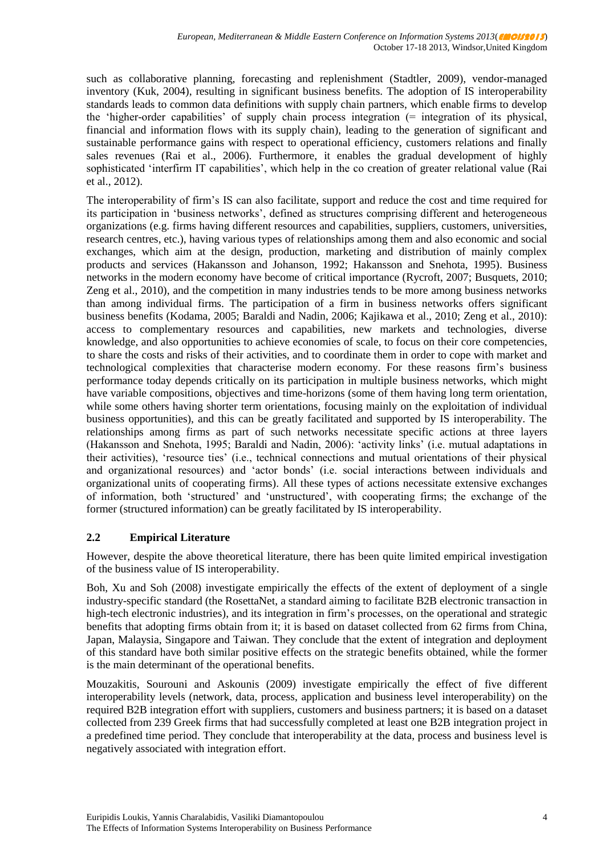such as collaborative planning, forecasting and replenishment (Stadtler, 2009), vendor-managed inventory (Kuk, 2004), resulting in significant business benefits. The adoption of IS interoperability standards leads to common data definitions with supply chain partners, which enable firms to develop the 'higher-order capabilities' of supply chain process integration (= integration of its physical, financial and information flows with its supply chain), leading to the generation of significant and sustainable performance gains with respect to operational efficiency, customers relations and finally sales revenues (Rai et al., 2006). Furthermore, it enables the gradual development of highly sophisticated 'interfirm IT capabilities', which help in the co creation of greater relational value (Rai et al., 2012).

The interoperability of firm's IS can also facilitate, support and reduce the cost and time required for its participation in 'business networks', defined as structures comprising different and heterogeneous organizations (e.g. firms having different resources and capabilities, suppliers, customers, universities, research centres, etc.), having various types of relationships among them and also economic and social exchanges, which aim at the design, production, marketing and distribution of mainly complex products and services (Hakansson and Johanson, 1992; Hakansson and Snehota, 1995). Business networks in the modern economy have become of critical importance (Rycroft, 2007; Busquets, 2010; Zeng et al., 2010), and the competition in many industries tends to be more among business networks than among individual firms. The participation of a firm in business networks offers significant business benefits (Kodama, 2005; Baraldi and Nadin, 2006; Kajikawa et al., 2010; Zeng et al., 2010): access to complementary resources and capabilities, new markets and technologies, diverse knowledge, and also opportunities to achieve economies of scale, to focus on their core competencies, to share the costs and risks of their activities, and to coordinate them in order to cope with market and technological complexities that characterise modern economy. For these reasons firm's business performance today depends critically on its participation in multiple business networks, which might have variable compositions, objectives and time-horizons (some of them having long term orientation, while some others having shorter term orientations, focusing mainly on the exploitation of individual business opportunities), and this can be greatly facilitated and supported by IS interoperability. The relationships among firms as part of such networks necessitate specific actions at three layers (Hakansson and Snehota, 1995; Baraldi and Nadin, 2006): 'activity links' (i.e. mutual adaptations in their activities), 'resource ties' (i.e., technical connections and mutual orientations of their physical and organizational resources) and 'actor bonds' (i.e. social interactions between individuals and organizational units of cooperating firms). All these types of actions necessitate extensive exchanges of information, both 'structured' and 'unstructured', with cooperating firms; the exchange of the former (structured information) can be greatly facilitated by IS interoperability.

# **2.2 Empirical Literature**

However, despite the above theoretical literature, there has been quite limited empirical investigation of the business value of IS interoperability.

Boh, Xu and Soh (2008) investigate empirically the effects of the extent of deployment of a single industry-specific standard (the RosettaNet, a standard aiming to facilitate B2B electronic transaction in high-tech electronic industries), and its integration in firm's processes, on the operational and strategic benefits that adopting firms obtain from it; it is based on dataset collected from 62 firms from China, Japan, Malaysia, Singapore and Taiwan. They conclude that the extent of integration and deployment of this standard have both similar positive effects on the strategic benefits obtained, while the former is the main determinant of the operational benefits.

Mouzakitis, Sourouni and Askounis (2009) investigate empirically the effect of five different interoperability levels (network, data, process, application and business level interoperability) on the required B2B integration effort with suppliers, customers and business partners; it is based on a dataset collected from 239 Greek firms that had successfully completed at least one B2B integration project in a predefined time period. They conclude that interoperability at the data, process and business level is negatively associated with integration effort.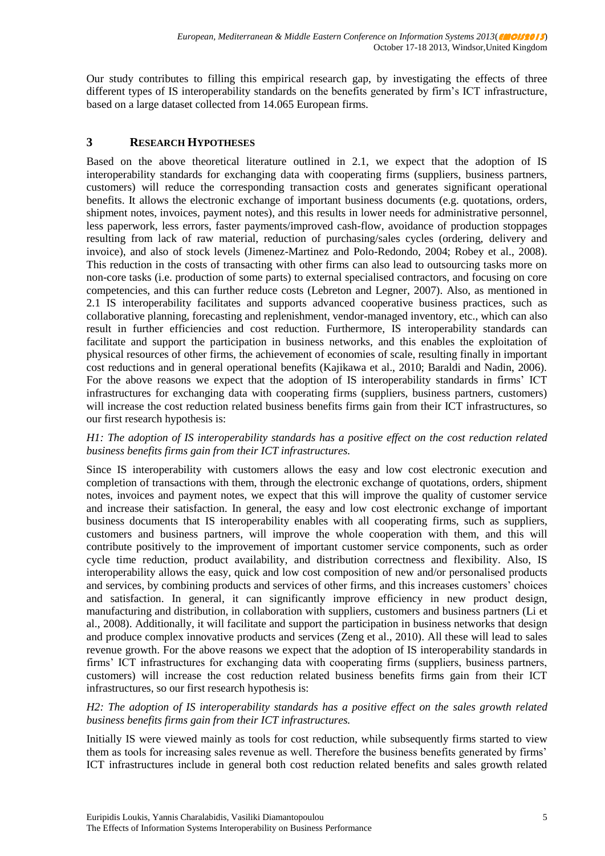Our study contributes to filling this empirical research gap, by investigating the effects of three different types of IS interoperability standards on the benefits generated by firm's ICT infrastructure, based on a large dataset collected from 14.065 European firms.

# **3 RESEARCH HYPOTHESES**

Based on the above theoretical literature outlined in 2.1, we expect that the adoption of IS interoperability standards for exchanging data with cooperating firms (suppliers, business partners, customers) will reduce the corresponding transaction costs and generates significant operational benefits. It allows the electronic exchange of important business documents (e.g. quotations, orders, shipment notes, invoices, payment notes), and this results in lower needs for administrative personnel, less paperwork, less errors, faster payments/improved cash-flow, avoidance of production stoppages resulting from lack of raw material, reduction of purchasing/sales cycles (ordering, delivery and invoice), and also of stock levels (Jimenez-Martinez and Polo-Redondo, 2004; Robey et al., 2008). This reduction in the costs of transacting with other firms can also lead to outsourcing tasks more on non-core tasks (i.e. production of some parts) to external specialised contractors, and focusing on core competencies, and this can further reduce costs (Lebreton and Legner, 2007). Also, as mentioned in 2.1 IS interoperability facilitates and supports advanced cooperative business practices, such as collaborative planning, forecasting and replenishment, vendor-managed inventory, etc., which can also result in further efficiencies and cost reduction. Furthermore, IS interoperability standards can facilitate and support the participation in business networks, and this enables the exploitation of physical resources of other firms, the achievement of economies of scale, resulting finally in important cost reductions and in general operational benefits (Kajikawa et al., 2010; Baraldi and Nadin, 2006). For the above reasons we expect that the adoption of IS interoperability standards in firms' ICT infrastructures for exchanging data with cooperating firms (suppliers, business partners, customers) will increase the cost reduction related business benefits firms gain from their ICT infrastructures, so our first research hypothesis is:

#### *H1: The adoption of IS interoperability standards has a positive effect on the cost reduction related business benefits firms gain from their ICT infrastructures.*

Since IS interoperability with customers allows the easy and low cost electronic execution and completion of transactions with them, through the electronic exchange of quotations, orders, shipment notes, invoices and payment notes, we expect that this will improve the quality of customer service and increase their satisfaction. In general, the easy and low cost electronic exchange of important business documents that IS interoperability enables with all cooperating firms, such as suppliers, customers and business partners, will improve the whole cooperation with them, and this will contribute positively to the improvement of important customer service components, such as order cycle time reduction, product availability, and distribution correctness and flexibility. Also, IS interoperability allows the easy, quick and low cost composition of new and/or personalised products and services, by combining products and services of other firms, and this increases customers' choices and satisfaction. In general, it can significantly improve efficiency in new product design, manufacturing and distribution, in collaboration with suppliers, customers and business partners (Li et al., 2008). Additionally, it will facilitate and support the participation in business networks that design and produce complex innovative products and services (Zeng et al., 2010). All these will lead to sales revenue growth. For the above reasons we expect that the adoption of IS interoperability standards in firms' ICT infrastructures for exchanging data with cooperating firms (suppliers, business partners, customers) will increase the cost reduction related business benefits firms gain from their ICT infrastructures, so our first research hypothesis is:

*H2: The adoption of IS interoperability standards has a positive effect on the sales growth related business benefits firms gain from their ICT infrastructures.*

Initially IS were viewed mainly as tools for cost reduction, while subsequently firms started to view them as tools for increasing sales revenue as well. Therefore the business benefits generated by firms' ICT infrastructures include in general both cost reduction related benefits and sales growth related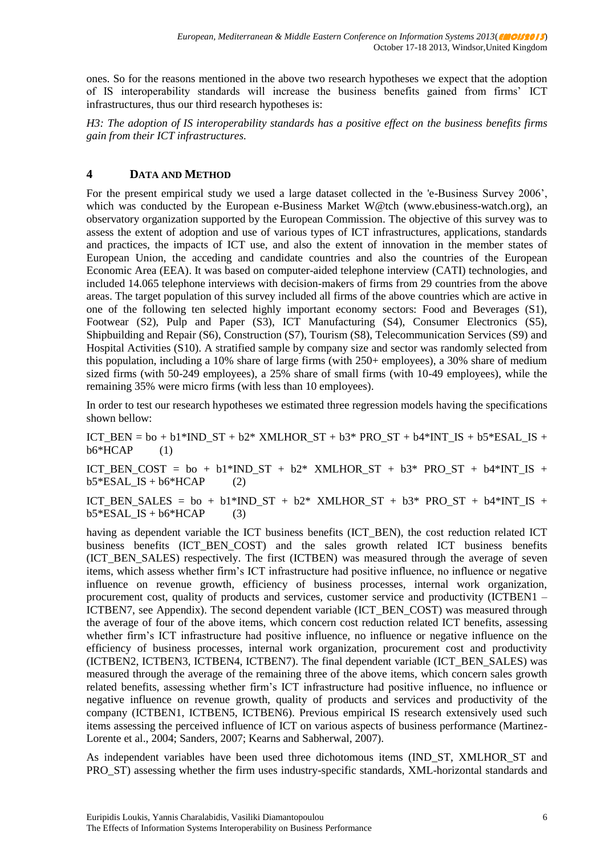ones. So for the reasons mentioned in the above two research hypotheses we expect that the adoption of IS interoperability standards will increase the business benefits gained from firms' ICT infrastructures, thus our third research hypotheses is:

*H3: The adoption of IS interoperability standards has a positive effect on the business benefits firms gain from their ICT infrastructures.*

# **4 DATA AND METHOD**

For the present empirical study we used a large dataset collected in the 'e-Business Survey 2006', which was conducted by the European e-Business Market W@tch [\(www.ebusiness-watch.org\)](http://www.ebusiness-watch.org/), an observatory organization supported by the European Commission. The objective of this survey was to assess the extent of adoption and use of various types of ICT infrastructures, applications, standards and practices, the impacts of ICT use, and also the extent of innovation in the member states of European Union, the acceding and candidate countries and also the countries of the European Economic Area (EEA). It was based on computer-aided telephone interview (CATI) technologies, and included 14.065 telephone interviews with decision-makers of firms from 29 countries from the above areas. The target population of this survey included all firms of the above countries which are active in one of the following ten selected highly important economy sectors: Food and Beverages (S1), Footwear (S2), Pulp and Paper (S3), ICT Manufacturing (S4), Consumer Electronics (S5), Shipbuilding and Repair (S6), Construction (S7), Tourism (S8), Telecommunication Services (S9) and Hospital Activities (S10). A stratified sample by company size and sector was randomly selected from this population, including a 10% share of large firms (with 250+ employees), a 30% share of medium sized firms (with 50-249 employees), a 25% share of small firms (with 10-49 employees), while the remaining 35% were micro firms (with less than 10 employees).

In order to test our research hypotheses we estimated three regression models having the specifications shown bellow:

ICT\_BEN =  $bo + b1*IND_ST + b2*$  XMLHOR\_ST +  $b3*$  PRO\_ST +  $b4*INT_S + b5*ESAL_S +$  $b6*HCAP$  (1)

ICT\_BEN\_COST = bo + b1\*IND\_ST + b2\* XMLHOR\_ST + b3\* PRO\_ST + b4\*INT\_IS +  $b5*ESALIS + b6*HCAP$  (2)

ICT\_BEN\_SALES = bo + b1\*IND\_ST + b2\* XMLHOR\_ST + b3\* PRO\_ST + b4\*INT\_IS +  $b5*ESALIS + b6*HCAP$  (3)

having as dependent variable the ICT business benefits (ICT\_BEN), the cost reduction related ICT business benefits (ICT\_BEN\_COST) and the sales growth related ICT business benefits (ICT\_BEN\_SALES) respectively. The first (ICTBEN) was measured through the average of seven items, which assess whether firm's ICT infrastructure had positive influence, no influence or negative influence on revenue growth, efficiency of business processes, internal work organization, procurement cost, quality of products and services, customer service and productivity (ICTBEN1 – ICTBEN7, see Appendix). The second dependent variable (ICT\_BEN\_COST) was measured through the average of four of the above items, which concern cost reduction related ICT benefits, assessing whether firm's ICT infrastructure had positive influence, no influence or negative influence on the efficiency of business processes, internal work organization, procurement cost and productivity (ICTBEN2, ICTBEN3, ICTBEN4, ICTBEN7). The final dependent variable (ICT\_BEN\_SALES) was measured through the average of the remaining three of the above items, which concern sales growth related benefits, assessing whether firm's ICT infrastructure had positive influence, no influence or negative influence on revenue growth, quality of products and services and productivity of the company (ICTBEN1, ICTBEN5, ICTBEN6). Previous empirical IS research extensively used such items assessing the perceived influence of ICT on various aspects of business performance (Martinez-Lorente et al., 2004; Sanders, 2007; Kearns and Sabherwal, 2007).

As independent variables have been used three dichotomous items (IND\_ST, XMLHOR\_ST and PRO\_ST) assessing whether the firm uses industry-specific standards, XML-horizontal standards and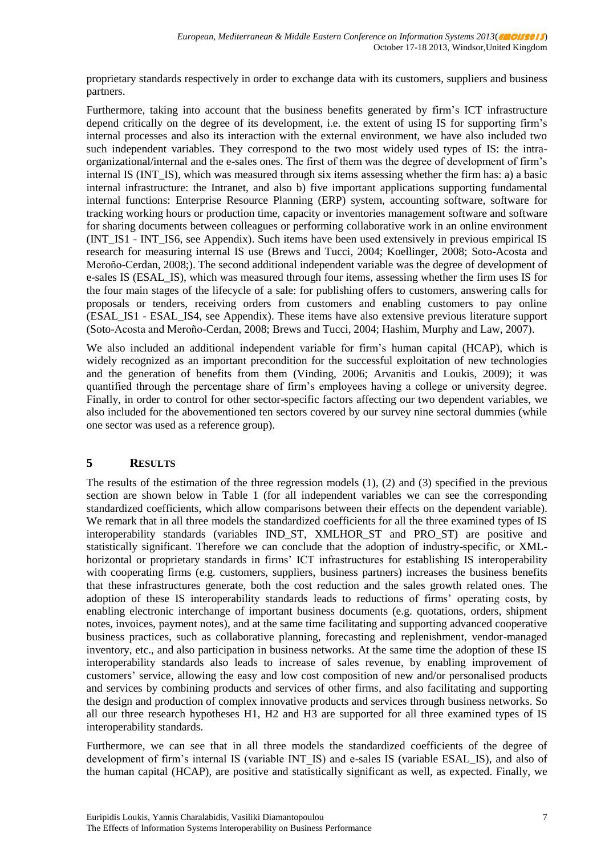proprietary standards respectively in order to exchange data with its customers, suppliers and business partners.

Furthermore, taking into account that the business benefits generated by firm's ICT infrastructure depend critically on the degree of its development, i.e. the extent of using IS for supporting firm's internal processes and also its interaction with the external environment, we have also included two such independent variables. They correspond to the two most widely used types of IS: the intraorganizational/internal and the e-sales ones. The first of them was the degree of development of firm's internal IS (INT IS), which was measured through six items assessing whether the firm has: a) a basic internal infrastructure: the Intranet, and also b) five important applications supporting fundamental internal functions: Enterprise Resource Planning (ERP) system, accounting software, software for tracking working hours or production time, capacity or inventories management software and software for sharing documents between colleagues or performing collaborative work in an online environment (INT\_IS1 - INT\_IS6, see Appendix). Such items have been used extensively in previous empirical IS research for measuring internal IS use (Brews and Tucci, 2004; Koellinger, 2008; Soto-Acosta and Meroño-Cerdan, 2008;). The second additional independent variable was the degree of development of e-sales IS (ESAL\_IS), which was measured through four items, assessing whether the firm uses IS for the four main stages of the lifecycle of a sale: for publishing offers to customers, answering calls for proposals or tenders, receiving orders from customers and enabling customers to pay online (ESAL\_IS1 - ESAL\_IS4, see Appendix). These items have also extensive previous literature support (Soto-Acosta and Meroño-Cerdan, 2008; Brews and Tucci, 2004; Hashim, Murphy and Law, 2007).

We also included an additional independent variable for firm's human capital (HCAP), which is widely recognized as an important precondition for the successful exploitation of new technologies and the generation of benefits from them (Vinding, 2006; Arvanitis and Loukis, 2009); it was quantified through the percentage share of firm's employees having a college or university degree. Finally, in order to control for other sector-specific factors affecting our two dependent variables, we also included for the abovementioned ten sectors covered by our survey nine sectoral dummies (while one sector was used as a reference group).

# **5 RESULTS**

The results of the estimation of the three regression models (1), (2) and (3) specified in the previous section are shown below in Table 1 (for all independent variables we can see the corresponding standardized coefficients, which allow comparisons between their effects on the dependent variable). We remark that in all three models the standardized coefficients for all the three examined types of IS interoperability standards (variables IND\_ST, XMLHOR\_ST and PRO\_ST) are positive and statistically significant. Therefore we can conclude that the adoption of industry-specific, or XMLhorizontal or proprietary standards in firms' ICT infrastructures for establishing IS interoperability with cooperating firms (e.g. customers, suppliers, business partners) increases the business benefits that these infrastructures generate, both the cost reduction and the sales growth related ones. The adoption of these IS interoperability standards leads to reductions of firms' operating costs, by enabling electronic interchange of important business documents (e.g. quotations, orders, shipment notes, invoices, payment notes), and at the same time facilitating and supporting advanced cooperative business practices, such as collaborative planning, forecasting and replenishment, vendor-managed inventory, etc., and also participation in business networks. At the same time the adoption of these IS interoperability standards also leads to increase of sales revenue, by enabling improvement of customers' service, allowing the easy and low cost composition of new and/or personalised products and services by combining products and services of other firms, and also facilitating and supporting the design and production of complex innovative products and services through business networks. So all our three research hypotheses H1, H2 and H3 are supported for all three examined types of IS interoperability standards.

Furthermore, we can see that in all three models the standardized coefficients of the degree of development of firm's internal IS (variable INT\_IS) and e-sales IS (variable ESAL\_IS), and also of the human capital (HCAP), are positive and statistically significant as well, as expected. Finally, we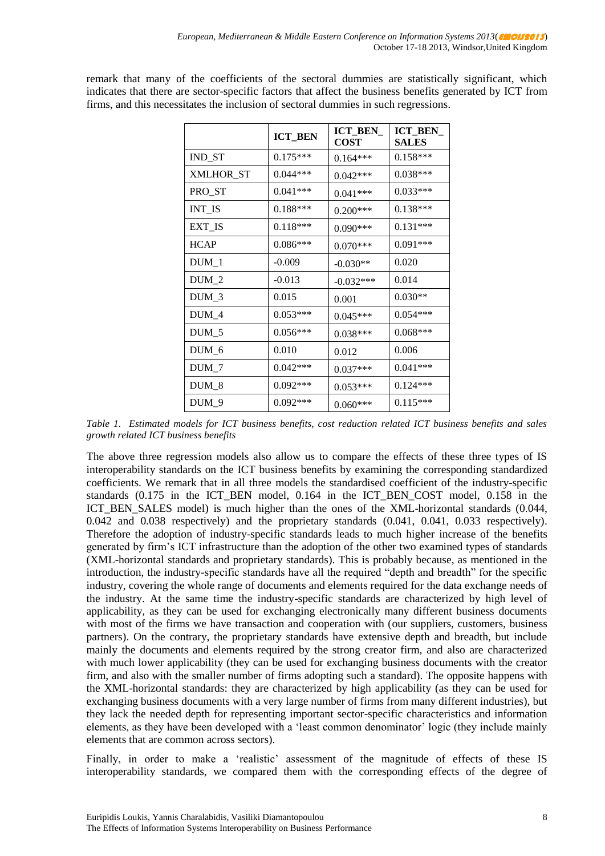remark that many of the coefficients of the sectoral dummies are statistically significant, which indicates that there are sector-specific factors that affect the business benefits generated by ICT from firms, and this necessitates the inclusion of sectoral dummies in such regressions.

|                  | <b>ICT_BEN</b> | ICT_BEN_<br><b>COST</b> | <b>ICT_BEN_</b><br><b>SALES</b> |
|------------------|----------------|-------------------------|---------------------------------|
| IND_ST           | $0.175***$     | $0.164***$              | $0.158***$                      |
| <b>XMLHOR_ST</b> | $0.044***$     | $0.042***$              | $0.038***$                      |
| PRO_ST           | $0.041***$     | $0.041***$              | $0.033***$                      |
| <b>INT_IS</b>    | $0.188***$     | $0.200***$              | $0.138***$                      |
| EXT_IS           | $0.118***$     | $0.090***$              | $0.131***$                      |
| <b>HCAP</b>      | $0.086***$     | $0.070***$              | $0.091***$                      |
| $DUM_1$          | $-0.009$       | $-0.030**$              | 0.020                           |
| $DUM_2$          | $-0.013$       | $-0.032***$             | 0.014                           |
| $DUM_3$          | 0.015          | 0.001                   | $0.030**$                       |
| $DUM_4$          | $0.053***$     | $0.045***$              | $0.054***$                      |
| $DUM_5$          | $0.056***$     | $0.038***$              | $0.068***$                      |
| DUM_6            | 0.010          | 0.012                   | 0.006                           |
| $DUM_7$          | $0.042***$     | $0.037***$              | $0.041***$                      |
| $DUM_8$          | $0.092***$     | $0.053***$              | $0.124***$                      |
| DUM 9            | $0.092***$     | $0.060***$              | $0.115***$                      |

*Table 1. Estimated models for ICT business benefits, cost reduction related ICT business benefits and sales growth related ICT business benefits* 

The above three regression models also allow us to compare the effects of these three types of IS interoperability standards on the ICT business benefits by examining the corresponding standardized coefficients. We remark that in all three models the standardised coefficient of the industry-specific standards (0.175 in the ICT\_BEN model, 0.164 in the ICT\_BEN\_COST model, 0.158 in the ICT BEN SALES model) is much higher than the ones of the XML-horizontal standards (0.044, 0.042 and 0.038 respectively) and the proprietary standards (0.041, 0.041, 0.033 respectively). Therefore the adoption of industry-specific standards leads to much higher increase of the benefits generated by firm's ICT infrastructure than the adoption of the other two examined types of standards (XML-horizontal standards and proprietary standards). This is probably because, as mentioned in the introduction, the industry-specific standards have all the required "depth and breadth" for the specific industry, covering the whole range of documents and elements required for the data exchange needs of the industry. At the same time the industry-specific standards are characterized by high level of applicability, as they can be used for exchanging electronically many different business documents with most of the firms we have transaction and cooperation with (our suppliers, customers, business partners). On the contrary, the proprietary standards have extensive depth and breadth, but include mainly the documents and elements required by the strong creator firm, and also are characterized with much lower applicability (they can be used for exchanging business documents with the creator firm, and also with the smaller number of firms adopting such a standard). The opposite happens with the XML-horizontal standards: they are characterized by high applicability (as they can be used for exchanging business documents with a very large number of firms from many different industries), but they lack the needed depth for representing important sector-specific characteristics and information elements, as they have been developed with a 'least common denominator' logic (they include mainly elements that are common across sectors).

Finally, in order to make a 'realistic' assessment of the magnitude of effects of these IS interoperability standards, we compared them with the corresponding effects of the degree of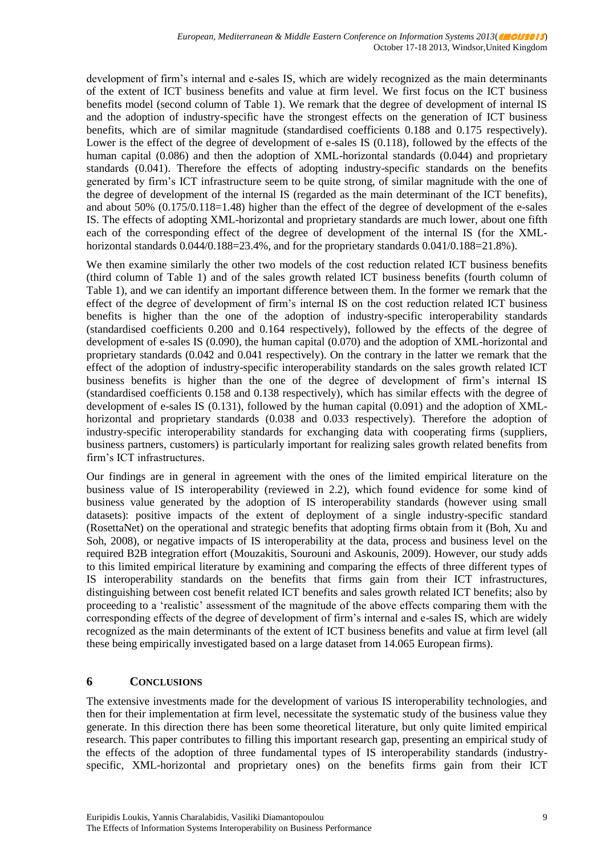development of firm's internal and e-sales IS, which are widely recognized as the main determinants of the extent of ICT business benefits and value at firm level. We first focus on the ICT business benefits model (second column of Table 1). We remark that the degree of development of internal IS and the adoption of industry-specific have the strongest effects on the generation of ICT business benefits, which are of similar magnitude (standardised coefficients 0.188 and 0.175 respectively). Lower is the effect of the degree of development of e-sales IS (0.118), followed by the effects of the human capital (0.086) and then the adoption of XML-horizontal standards (0.044) and proprietary standards (0.041). Therefore the effects of adopting industry-specific standards on the benefits generated by firm's ICT infrastructure seem to be quite strong, of similar magnitude with the one of the degree of development of the internal IS (regarded as the main determinant of the ICT benefits), and about 50% (0.175/0.118=1.48) higher than the effect of the degree of development of the e-sales IS. The effects of adopting XML-horizontal and proprietary standards are much lower, about one fifth each of the corresponding effect of the degree of development of the internal IS (for the XMLhorizontal standards  $0.044/0.188=23.4\%$ , and for the proprietary standards  $0.041/0.188=21.8\%$ ).

We then examine similarly the other two models of the cost reduction related ICT business benefits (third column of Table 1) and of the sales growth related ICT business benefits (fourth column of Table 1), and we can identify an important difference between them. In the former we remark that the effect of the degree of development of firm's internal IS on the cost reduction related ICT business benefits is higher than the one of the adoption of industry-specific interoperability standards (standardised coefficients 0.200 and 0.164 respectively), followed by the effects of the degree of development of e-sales IS (0.090), the human capital (0.070) and the adoption of XML-horizontal and proprietary standards (0.042 and 0.041 respectively). On the contrary in the latter we remark that the effect of the adoption of industry-specific interoperability standards on the sales growth related ICT business benefits is higher than the one of the degree of development of firm's internal IS (standardised coefficients 0.158 and 0.138 respectively), which has similar effects with the degree of development of e-sales IS (0.131), followed by the human capital (0.091) and the adoption of XMLhorizontal and proprietary standards (0.038 and 0.033 respectively). Therefore the adoption of industry-specific interoperability standards for exchanging data with cooperating firms (suppliers, business partners, customers) is particularly important for realizing sales growth related benefits from firm's ICT infrastructures.

Our findings are in general in agreement with the ones of the limited empirical literature on the business value of IS interoperability (reviewed in 2.2), which found evidence for some kind of business value generated by the adoption of IS interoperability standards (however using small datasets): positive impacts of the extent of deployment of a single industry-specific standard (RosettaNet) on the operational and strategic benefits that adopting firms obtain from it (Boh, Xu and Soh, 2008), or negative impacts of IS interoperability at the data, process and business level on the required B2B integration effort (Mouzakitis, Sourouni and Askounis, 2009). However, our study adds to this limited empirical literature by examining and comparing the effects of three different types of IS interoperability standards on the benefits that firms gain from their ICT infrastructures, distinguishing between cost benefit related ICT benefits and sales growth related ICT benefits; also by proceeding to a 'realistic' assessment of the magnitude of the above effects comparing them with the corresponding effects of the degree of development of firm's internal and e-sales IS, which are widely recognized as the main determinants of the extent of ICT business benefits and value at firm level (all these being empirically investigated based on a large dataset from 14.065 European firms).

# **6 CONCLUSIONS**

The extensive investments made for the development of various IS interoperability technologies, and then for their implementation at firm level, necessitate the systematic study of the business value they generate. In this direction there has been some theoretical literature, but only quite limited empirical research. This paper contributes to filling this important research gap, presenting an empirical study of the effects of the adoption of three fundamental types of IS interoperability standards (industryspecific, XML-horizontal and proprietary ones) on the benefits firms gain from their ICT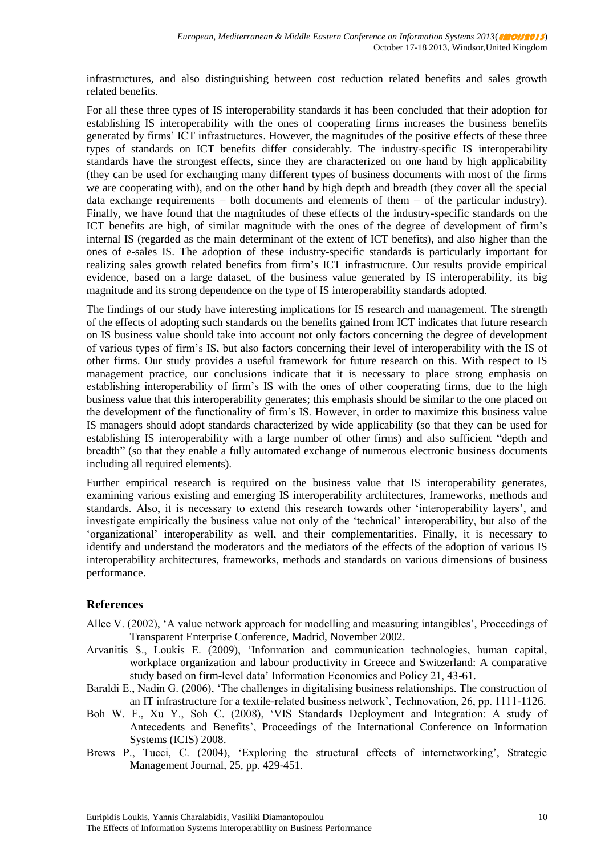infrastructures, and also distinguishing between cost reduction related benefits and sales growth related benefits.

For all these three types of IS interoperability standards it has been concluded that their adoption for establishing IS interoperability with the ones of cooperating firms increases the business benefits generated by firms' ICT infrastructures. However, the magnitudes of the positive effects of these three types of standards on ICT benefits differ considerably. The industry-specific IS interoperability standards have the strongest effects, since they are characterized on one hand by high applicability (they can be used for exchanging many different types of business documents with most of the firms we are cooperating with), and on the other hand by high depth and breadth (they cover all the special data exchange requirements  $-$  both documents and elements of them  $-$  of the particular industry). Finally, we have found that the magnitudes of these effects of the industry-specific standards on the ICT benefits are high, of similar magnitude with the ones of the degree of development of firm's internal IS (regarded as the main determinant of the extent of ICT benefits), and also higher than the ones of e-sales IS. The adoption of these industry-specific standards is particularly important for realizing sales growth related benefits from firm's ICT infrastructure. Our results provide empirical evidence, based on a large dataset, of the business value generated by IS interoperability, its big magnitude and its strong dependence on the type of IS interoperability standards adopted.

The findings of our study have interesting implications for IS research and management. The strength of the effects of adopting such standards on the benefits gained from ICT indicates that future research on IS business value should take into account not only factors concerning the degree of development of various types of firm's IS, but also factors concerning their level of interoperability with the IS of other firms. Our study provides a useful framework for future research on this. With respect to IS management practice, our conclusions indicate that it is necessary to place strong emphasis on establishing interoperability of firm's IS with the ones of other cooperating firms, due to the high business value that this interoperability generates; this emphasis should be similar to the one placed on the development of the functionality of firm's IS. However, in order to maximize this business value IS managers should adopt standards characterized by wide applicability (so that they can be used for establishing IS interoperability with a large number of other firms) and also sufficient "depth and breadth" (so that they enable a fully automated exchange of numerous electronic business documents including all required elements).

Further empirical research is required on the business value that IS interoperability generates, examining various existing and emerging IS interoperability architectures, frameworks, methods and standards. Also, it is necessary to extend this research towards other 'interoperability layers', and investigate empirically the business value not only of the 'technical' interoperability, but also of the 'organizational' interoperability as well, and their complementarities. Finally, it is necessary to identify and understand the moderators and the mediators of the effects of the adoption of various IS interoperability architectures, frameworks, methods and standards on various dimensions of business performance.

# **References**

- Allee V. (2002), 'A value network approach for modelling and measuring intangibles', Proceedings of Transparent Enterprise Conference, Madrid, November 2002.
- Arvanitis S., Loukis E. (2009), 'Information and communication technologies, human capital, workplace organization and labour productivity in Greece and Switzerland: A comparative study based on firm-level data' Information Economics and Policy 21, 43-61.
- Baraldi E., Nadin G. (2006), 'The challenges in digitalising business relationships. The construction of an IT infrastructure for a textile-related business network', Technovation, 26, pp. 1111-1126.
- Boh W. F., Xu Y., Soh C. (2008), 'VIS Standards Deployment and Integration: A study of Antecedents and Benefits', Proceedings of the International Conference on Information Systems (ICIS) 2008.
- Brews P., Tucci, C. (2004), 'Exploring the structural effects of internetworking', Strategic Management Journal, 25, pp. 429-451.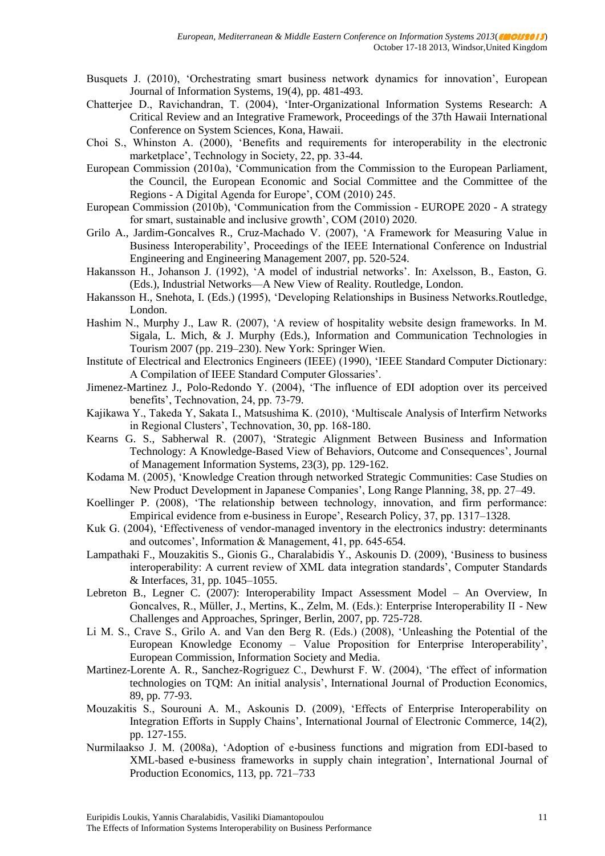- Busquets J. (2010), 'Orchestrating smart business network dynamics for innovation', European Journal of Information Systems, 19(4), pp. 481-493.
- Chatterjee D., Ravichandran, T. (2004), 'Inter-Organizational Information Systems Research: A Critical Review and an Integrative Framework, Proceedings of the 37th Hawaii International Conference on System Sciences, Kona, Hawaii.
- Choi S., Whinston A. (2000), 'Benefits and requirements for interoperability in the electronic marketplace', Technology in Society, 22, pp. 33-44.
- European Commission (2010a), 'Communication from the Commission to the European Parliament, the Council, the European Economic and Social Committee and the Committee of the Regions - A Digital Agenda for Europe', COM (2010) 245.
- European Commission (2010b), 'Communication from the Commission EUROPE 2020 A strategy for smart, sustainable and inclusive growth', COM (2010) 2020.
- Grilo A., Jardim-Goncalves R., Cruz-Machado V. (2007), 'A Framework for Measuring Value in Business Interoperability', Proceedings of the IEEE International Conference on Industrial Engineering and Engineering Management 2007, pp. 520-524.
- Hakansson H., Johanson J. (1992), 'A model of industrial networks'. In: Axelsson, B., Easton, G. (Eds.), Industrial Networks—A New View of Reality. Routledge, London.
- Hakansson H., Snehota, I. (Eds.) (1995), 'Developing Relationships in Business Networks.Routledge, London.
- Hashim N., Murphy J., Law R. (2007), 'A review of hospitality website design frameworks. In M. Sigala, L. Mich, & J. Murphy (Eds.), Information and Communication Technologies in Tourism 2007 (pp. 219–230). New York: Springer Wien.
- Institute of Electrical and Electronics Engineers (IEEE) (1990), 'IEEE Standard Computer Dictionary: A Compilation of IEEE Standard Computer Glossaries'.
- Jimenez-Martinez J., Polo-Redondo Y. (2004), 'The influence of EDI adoption over its perceived benefits', Technovation, 24, pp. 73-79.
- Kajikawa Y., Takeda Y, Sakata I., Matsushima K. (2010), 'Multiscale Analysis of Interfirm Networks in Regional Clusters', Technovation, 30, pp. 168-180.
- Kearns G. S., Sabherwal R. (2007), 'Strategic Alignment Between Business and Information Technology: A Knowledge-Based View of Behaviors, Outcome and Consequences', Journal of Management Information Systems, 23(3), pp. 129-162.
- Kodama M. (2005), 'Knowledge Creation through networked Strategic Communities: Case Studies on New Product Development in Japanese Companies', Long Range Planning, 38, pp. 27–49.
- Koellinger P. (2008), 'The relationship between technology, innovation, and firm performance: Empirical evidence from e-business in Europe', Research Policy, 37, pp. 1317–1328.
- Kuk G. (2004), 'Effectiveness of vendor-managed inventory in the electronics industry: determinants and outcomes', Information & Management, 41, pp. 645-654.
- Lampathaki F., Mouzakitis S., Gionis G., Charalabidis Y., Askounis D. (2009), 'Business to business interoperability: A current review of XML data integration standards', Computer Standards & Interfaces, 31, pp. 1045–1055.
- Lebreton B., Legner C. (2007): Interoperability Impact Assessment Model An Overview, In Goncalves, R., Müller, J., Mertins, K., Zelm, M. (Eds.): Enterprise Interoperability II - New Challenges and Approaches, Springer, Berlin, 2007, pp. 725-728.
- Li M. S., Crave S., Grilo A. and Van den Berg R. (Eds.) (2008), 'Unleashing the Potential of the European Knowledge Economy – Value Proposition for Enterprise Interoperability', European Commission, Information Society and Media.
- Martinez-Lorente A. R., Sanchez-Rogriguez C., Dewhurst F. W. (2004), 'The effect of information technologies on TQM: An initial analysis', International Journal of Production Economics, 89, pp. 77-93.
- Mouzakitis S., Sourouni A. M., Askounis D. (2009), 'Effects of Enterprise Interoperability on Integration Efforts in Supply Chains', International Journal of Electronic Commerce, 14(2), pp. 127-155.
- Nurmilaakso J. M. (2008a), 'Adoption of e-business functions and migration from EDI-based to XML-based e-business frameworks in supply chain integration', International Journal of Production Economics, 113, pp. 721–733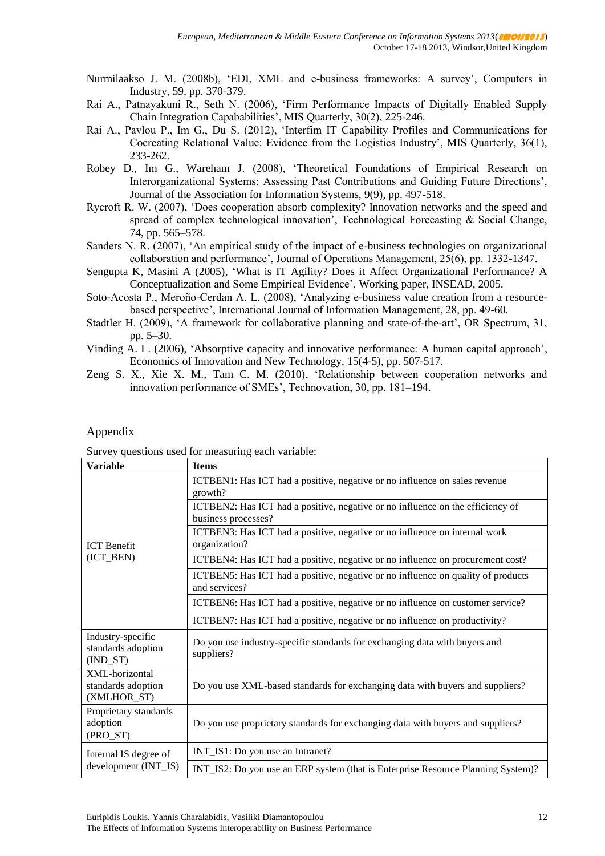- Nurmilaakso J. M. (2008b), 'EDI, XML and e-business frameworks: A survey', Computers in Industry, 59, pp. 370-379.
- Rai A., Patnayakuni R., Seth N. (2006), 'Firm Performance Impacts of Digitally Enabled Supply Chain Integration Capababilities', MIS Quarterly, 30(2), 225-246.
- Rai A., Pavlou P., Im G., Du S. (2012), 'Interfim IT Capability Profiles and Communications for Cocreating Relational Value: Evidence from the Logistics Industry', MIS Quarterly, 36(1), 233-262.
- Robey D., Im G., Wareham J. (2008), 'Theoretical Foundations of Empirical Research on Interorganizational Systems: Assessing Past Contributions and Guiding Future Directions', Journal of the Association for Information Systems, 9(9), pp. 497-518.
- Rycroft R. W. (2007), 'Does cooperation absorb complexity? Innovation networks and the speed and spread of complex technological innovation', Technological Forecasting & Social Change, 74, pp. 565–578.
- Sanders N. R. (2007), 'An empirical study of the impact of e-business technologies on organizational collaboration and performance', Journal of Operations Management, 25(6), pp. 1332-1347.
- Sengupta K, Masini A (2005), 'What is IT Agility? Does it Affect Organizational Performance? A Conceptualization and Some Empirical Evidence', Working paper, INSEAD, 2005.
- Soto-Acosta P., Meroño-Cerdan A. L. (2008), 'Analyzing e-business value creation from a resourcebased perspective', International Journal of Information Management, 28, pp. 49-60.
- Stadtler H. (2009), 'A framework for collaborative planning and state-of-the-art', OR Spectrum, 31, pp. 5–30.
- Vinding A. L. (2006), 'Absorptive capacity and innovative performance: A human capital approach', Economics of Innovation and New Technology, 15(4-5), pp. 507-517.
- Zeng S. X., Xie X. M., Tam C. M. (2010), 'Relationship between cooperation networks and innovation performance of SMEs', Technovation, 30, pp. 181–194.

#### Appendix

|  | Survey questions used for measuring each variable: |  |
|--|----------------------------------------------------|--|

| <b>Variable</b>                                       | <b>Items</b>                                                                                          |
|-------------------------------------------------------|-------------------------------------------------------------------------------------------------------|
| <b>ICT</b> Benefit<br>(ICT_BEN)                       | ICTBEN1: Has ICT had a positive, negative or no influence on sales revenue<br>growth?                 |
|                                                       | ICTBEN2: Has ICT had a positive, negative or no influence on the efficiency of<br>business processes? |
|                                                       | ICTBEN3: Has ICT had a positive, negative or no influence on internal work<br>organization?           |
|                                                       | ICTBEN4: Has ICT had a positive, negative or no influence on procurement cost?                        |
|                                                       | ICTBEN5: Has ICT had a positive, negative or no influence on quality of products<br>and services?     |
|                                                       | ICTBEN6: Has ICT had a positive, negative or no influence on customer service?                        |
|                                                       | ICTBEN7: Has ICT had a positive, negative or no influence on productivity?                            |
| Industry-specific<br>standards adoption<br>$(IND_ST)$ | Do you use industry-specific standards for exchanging data with buyers and<br>suppliers?              |
| XML-horizontal<br>standards adoption<br>(XMLHOR_ST)   | Do you use XML-based standards for exchanging data with buyers and suppliers?                         |
| Proprietary standards<br>adoption<br>(PRO_ST)         | Do you use proprietary standards for exchanging data with buyers and suppliers?                       |
| Internal IS degree of<br>development (INT_IS)         | INT_IS1: Do you use an Intranet?                                                                      |
|                                                       | INT_IS2: Do you use an ERP system (that is Enterprise Resource Planning System)?                      |